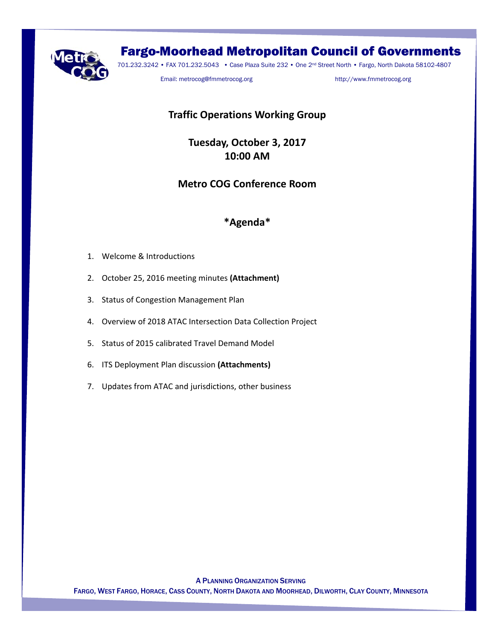

# Fargo-Moorhead Metropolitan Council of Governments

701.232.3242 • FAX 701.232.5043 • Case Plaza Suite 232 • One 2nd Street North • Fargo, North Dakota 58102-4807

Email: metrocog@fmmetrocog.org http://www.fmmetrocog.org

# **Traffic Operations Working Group**

**Tuesday, October 3, 2017 10:00 AM** 

## **Metro COG Conference Room**

## **\*Agenda\***

- 1. Welcome & Introductions
- 2. October 25, 2016 meeting minutes **(Attachment)**
- 3. Status of Congestion Management Plan
- 4. Overview of 2018 ATAC Intersection Data Collection Project
- 5. Status of 2015 calibrated Travel Demand Model
- 6. ITS Deployment Plan discussion **(Attachments)**
- 7. Updates from ATAC and jurisdictions, other business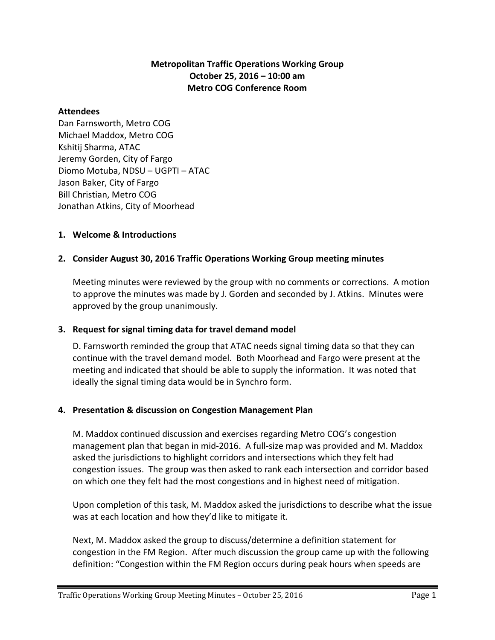## **Metropolitan Traffic Operations Working Group October 25, 2016 – 10:00 am Metro COG Conference Room**

#### **Attendees**

Dan Farnsworth, Metro COG Michael Maddox, Metro COG Kshitij Sharma, ATAC Jeremy Gorden, City of Fargo Diomo Motuba, NDSU – UGPTI – ATAC Jason Baker, City of Fargo Bill Christian, Metro COG Jonathan Atkins, City of Moorhead

#### **1. Welcome & Introductions**

## **2. Consider August 30, 2016 Traffic Operations Working Group meeting minutes**

Meeting minutes were reviewed by the group with no comments or corrections. A motion to approve the minutes was made by J. Gorden and seconded by J. Atkins. Minutes were approved by the group unanimously.

#### **3. Request for signal timing data for travel demand model**

D. Farnsworth reminded the group that ATAC needs signal timing data so that they can continue with the travel demand model. Both Moorhead and Fargo were present at the meeting and indicated that should be able to supply the information. It was noted that ideally the signal timing data would be in Synchro form.

#### **4. Presentation & discussion on Congestion Management Plan**

M. Maddox continued discussion and exercises regarding Metro COG's congestion management plan that began in mid-2016. A full-size map was provided and M. Maddox asked the jurisdictions to highlight corridors and intersections which they felt had congestion issues. The group was then asked to rank each intersection and corridor based on which one they felt had the most congestions and in highest need of mitigation.

Upon completion of this task, M. Maddox asked the jurisdictions to describe what the issue was at each location and how they'd like to mitigate it.

Next, M. Maddox asked the group to discuss/determine a definition statement for congestion in the FM Region. After much discussion the group came up with the following definition: "Congestion within the FM Region occurs during peak hours when speeds are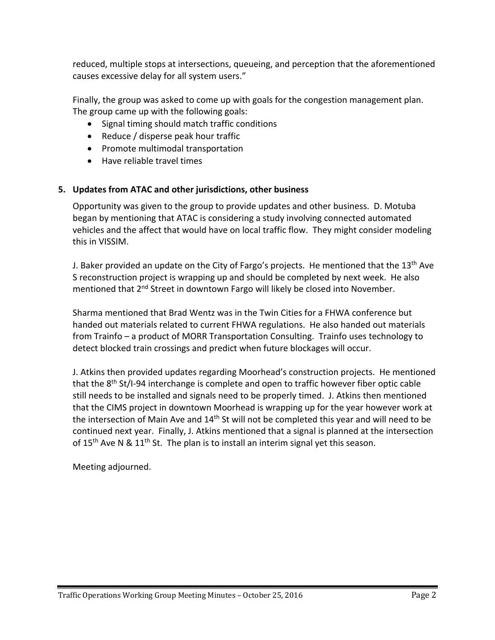reduced, multiple stops at intersections, queueing, and perception that the aforementioned causes excessive delay for all system users."

Finally, the group was asked to come up with goals for the congestion management plan. The group came up with the following goals:

- Signal timing should match traffic conditions
- Reduce / disperse peak hour traffic
- Promote multimodal transportation
- Have reliable travel times

## **5. Updates from ATAC and other jurisdictions, other business**

Opportunity was given to the group to provide updates and other business. D. Motuba began by mentioning that ATAC is considering a study involving connected automated vehicles and the affect that would have on local traffic flow. They might consider modeling this in VISSIM.

J. Baker provided an update on the City of Fargo's projects. He mentioned that the 13<sup>th</sup> Ave S reconstruction project is wrapping up and should be completed by next week. He also mentioned that 2<sup>nd</sup> Street in downtown Fargo will likely be closed into November.

Sharma mentioned that Brad Wentz was in the Twin Cities for a FHWA conference but handed out materials related to current FHWA regulations. He also handed out materials from Trainfo – a product of MORR Transportation Consulting. Trainfo uses technology to detect blocked train crossings and predict when future blockages will occur.

J. Atkins then provided updates regarding Moorhead's construction projects. He mentioned that the  $8<sup>th</sup>$  St/I-94 interchange is complete and open to traffic however fiber optic cable still needs to be installed and signals need to be properly timed. J. Atkins then mentioned that the CIMS project in downtown Moorhead is wrapping up for the year however work at the intersection of Main Ave and  $14<sup>th</sup>$  St will not be completed this year and will need to be continued next year. Finally, J. Atkins mentioned that a signal is planned at the intersection of  $15<sup>th</sup>$  Ave N &  $11<sup>th</sup>$  St. The plan is to install an interim signal yet this season.

Meeting adjourned.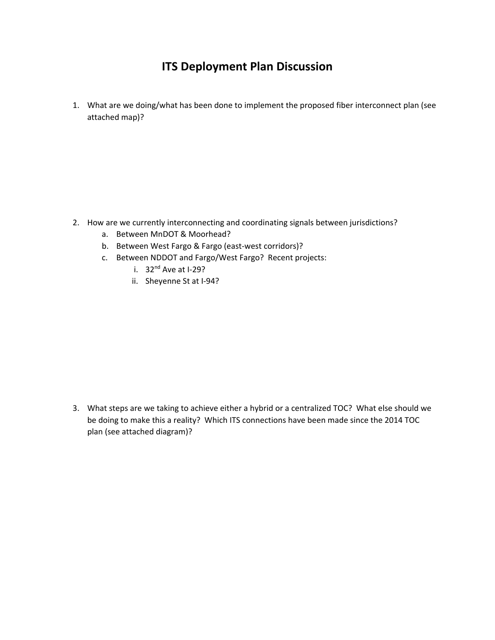# **ITS Deployment Plan Discussion**

1. What are we doing/what has been done to implement the proposed fiber interconnect plan (see attached map)?

- 2. How are we currently interconnecting and coordinating signals between jurisdictions?
	- a. Between MnDOT & Moorhead?
	- b. Between West Fargo & Fargo (east-west corridors)?
	- c. Between NDDOT and Fargo/West Fargo? Recent projects:
		- i.  $32<sup>nd</sup>$  Ave at I-29?
		- ii. Sheyenne St at I‐94?

3. What steps are we taking to achieve either a hybrid or a centralized TOC? What else should we be doing to make this a reality? Which ITS connections have been made since the 2014 TOC plan (see attached diagram)?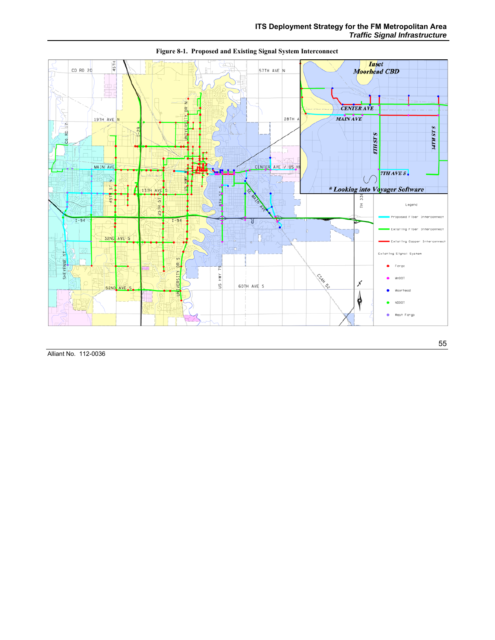

**Figure 8-1. Proposed and Existing Signal System Interconnect** 

Alliant No. 112-0036

55